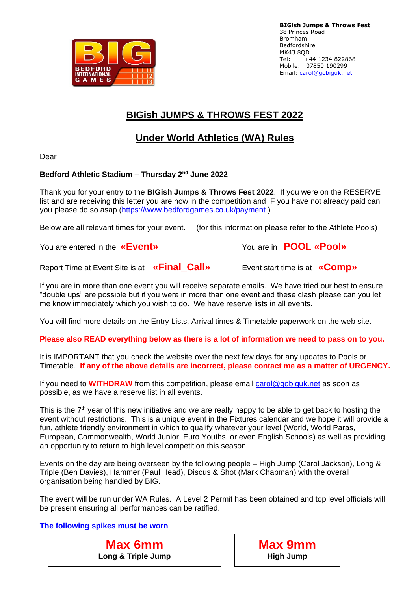

# **BIGish JUMPS & THROWS FEST 2022**

# **Under World Athletics (WA) Rules**

Dear

# **Bedford Athletic Stadium – Thursday 2nd June 2022**

Thank you for your entry to the **BIGish Jumps & Throws Fest 2022**. If you were on the RESERVE list and are receiving this letter you are now in the competition and IF you have not already paid can you please do so asap [\(https://www.bedfordgames.co.uk/payment](https://www.bedfordgames.co.uk/payment) )

Below are all relevant times for your event. (for this information please refer to the Athlete Pools)

You are entered in the **«Event»** You are in **POOL «Pool»**

Report Time at Event Site is at **«Final\_Call»** Event start time is at **«Comp»**

If you are in more than one event you will receive separate emails. We have tried our best to ensure "double ups" are possible but if you were in more than one event and these clash please can you let me know immediately which you wish to do. We have reserve lists in all events.

You will find more details on the Entry Lists, Arrival times & Timetable paperwork on the web site.

**Please also READ everything below as there is a lot of information we need to pass on to you.**

It is IMPORTANT that you check the website over the next few days for any updates to Pools or Timetable. **If any of the above details are incorrect, please contact me as a matter of URGENCY.**

If you need to **WITHDRAW** from this competition, please email [carol@gobiguk.net](mailto:carol@gobiguk.net) as soon as possible, as we have a reserve list in all events.

This is the  $7<sup>th</sup>$  year of this new initiative and we are really happy to be able to get back to hosting the event without restrictions. This is a unique event in the Fixtures calendar and we hope it will provide a fun, athlete friendly environment in which to qualify whatever your level (World, World Paras, European, Commonwealth, World Junior, Euro Youths, or even English Schools) as well as providing an opportunity to return to high level competition this season.

Events on the day are being overseen by the following people – High Jump (Carol Jackson), Long & Triple (Ben Davies), Hammer (Paul Head), Discus & Shot (Mark Chapman) with the overall organisation being handled by BIG.

The event will be run under WA Rules. A Level 2 Permit has been obtained and top level officials will be present ensuring all performances can be ratified.

## **The following spikes must be worn**

**Max 6mm Long & Triple Jump**

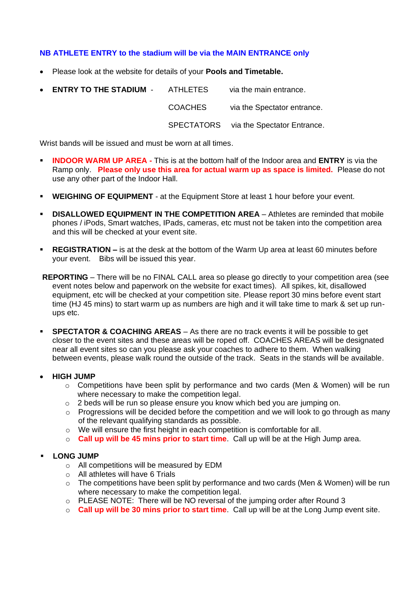## **NB ATHLETE ENTRY to the stadium will be via the MAIN ENTRANCE only**

- Please look at the website for details of your **Pools and Timetable.**
- **ENTRY TO THE STADIUM** ATHLETES via the main entrance. COACHES via the Spectator entrance. SPECTATORS via the Spectator Entrance.

Wrist bands will be issued and must be worn at all times.

- **INDOOR WARM UP AREA -** This is at the bottom half of the Indoor area and **ENTRY** is via the Ramp only. **Please only use this area for actual warm up as space is limited.** Please do not use any other part of the Indoor Hall.
- **EXEGE ING OF EQUIPMENT** at the Equipment Store at least 1 hour before your event.
- **E DISALLOWED EQUIPMENT IN THE COMPETITION AREA** Athletes are reminded that mobile phones / iPods, Smart watches, IPads, cameras, etc must not be taken into the competition area and this will be checked at your event site.
- **EXEGISTRATION –** is at the desk at the bottom of the Warm Up area at least 60 minutes before your event. Bibs will be issued this year.
- **REPORTING**  There will be no FINAL CALL area so please go directly to your competition area (see event notes below and paperwork on the website for exact times). All spikes, kit, disallowed equipment, etc will be checked at your competition site. Please report 30 mins before event start time (HJ 45 mins) to start warm up as numbers are high and it will take time to mark & set up runups etc.
- **SPECTATOR & COACHING AREAS** As there are no track events it will be possible to get closer to the event sites and these areas will be roped off. COACHES AREAS will be designated near all event sites so can you please ask your coaches to adhere to them. When walking between events, please walk round the outside of the track. Seats in the stands will be available.
- **HIGH JUMP** 
	- o Competitions have been split by performance and two cards (Men & Women) will be run where necessary to make the competition legal.
	- o 2 beds will be run so please ensure you know which bed you are jumping on.
	- $\circ$  Progressions will be decided before the competition and we will look to go through as many of the relevant qualifying standards as possible.
	- o We will ensure the first height in each competition is comfortable for all.
	- o **Call up will be 45 mins prior to start time**. Call up will be at the High Jump area.

### **LONG JUMP**

- o All competitions will be measured by EDM
- o All athletes will have 6 Trials
- $\circ$  The competitions have been split by performance and two cards (Men & Women) will be run where necessary to make the competition legal.
- o PLEASE NOTE: There will be NO reversal of the jumping order after Round 3
- o **Call up will be 30 mins prior to start time**. Call up will be at the Long Jump event site.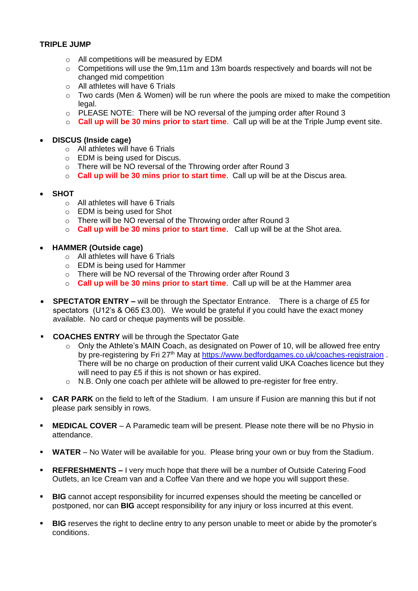### **TRIPLE JUMP**

- o All competitions will be measured by EDM
- $\circ$  Competitions will use the 9m, 11m and 13m boards respectively and boards will not be changed mid competition
- o All athletes will have 6 Trials
- o Two cards (Men & Women) will be run where the pools are mixed to make the competition legal.
- o PLEASE NOTE: There will be NO reversal of the jumping order after Round 3
- o **Call up will be 30 mins prior to start time**. Call up will be at the Triple Jump event site.

#### • **DISCUS (Inside cage)**

- o All athletes will have 6 Trials
- o EDM is being used for Discus.
- o There will be NO reversal of the Throwing order after Round 3
- o **Call up will be 30 mins prior to start time**. Call up will be at the Discus area.

#### • **SHOT**

- $\circ$  All athletes will have 6 Trials
- o EDM is being used for Shot
- o There will be NO reversal of the Throwing order after Round 3
- o **Call up will be 30 mins prior to start time**. Call up will be at the Shot area.

#### • **HAMMER (Outside cage)**

- o All athletes will have 6 Trials
- o EDM is being used for Hammer
- o There will be NO reversal of the Throwing order after Round 3
- o **Call up will be 30 mins prior to start time**. Call up will be at the Hammer area
- **SPECTATOR ENTRY –** will be through the Spectator Entrance. There is a charge of £5 for spectators (U12's & O65 £3.00). We would be grateful if you could have the exact money available. No card or cheque payments will be possible.
- **COACHES ENTRY** will be through the Spectator Gate
	- $\circ$  Only the Athlete's MAIN Coach, as designated on Power of 10, will be allowed free entry by pre-registering by Fri 27<sup>th</sup> May at<https://www.bedfordgames.co.uk/coaches-registraion>. There will be no charge on production of their current valid UKA Coaches licence but they will need to pay £5 if this is not shown or has expired.
	- o N.B. Only one coach per athlete will be allowed to pre-register for free entry.
- **CAR PARK** on the field to left of the Stadium. I am unsure if Fusion are manning this but if not please park sensibly in rows.
- **MEDICAL COVER** A Paramedic team will be present. Please note there will be no Physio in attendance.
- **WATER**  No Water will be available for you. Please bring your own or buy from the Stadium.
- **REFRESHMENTS –** I very much hope that there will be a number of Outside Catering Food Outlets, an Ice Cream van and a Coffee Van there and we hope you will support these.
- **BIG** cannot accept responsibility for incurred expenses should the meeting be cancelled or postponed, nor can **BIG** accept responsibility for any injury or loss incurred at this event.
- **EIG** reserves the right to decline entry to any person unable to meet or abide by the promoter's conditions.